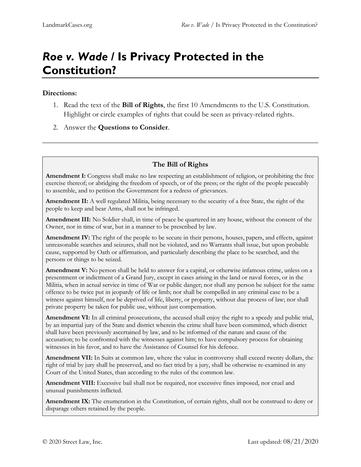## *Roe v. Wade* **/ Is Privacy Protected in the Constitution?**

## **Directions:**

- 1. Read the text of the **Bill of Rights**, the first 10 Amendments to the U.S. Constitution. Highlight or circle examples of rights that could be seen as privacy-related rights.
- 2. Answer the **Questions to Consider**.

## **The Bill of Rights**

**Amendment I:** Congress shall make no law respecting an establishment of religion, or prohibiting the free exercise thereof; or abridging the freedom of speech, or of the press; or the right of the people peaceably to assemble, and to petition the Government for a redress of grievances.

**Amendment II:** A well regulated Militia, being necessary to the security of a free State, the right of the people to keep and bear Arms, shall not be infringed.

**Amendment III:** No Soldier shall, in time of peace be quartered in any house, without the consent of the Owner, nor in time of war, but in a manner to be prescribed by law.

**Amendment IV:** The right of the people to be secure in their persons, houses, papers, and effects, against unreasonable searches and seizures, shall not be violated, and no Warrants shall issue, but upon probable cause, supported by Oath or affirmation, and particularly describing the place to be searched, and the persons or things to be seized.

**Amendment V:** No person shall be held to answer for a capital, or otherwise infamous crime, unless on a presentment or indictment of a Grand Jury, except in cases arising in the land or naval forces, or in the Militia, when in actual service in time of War or public danger; nor shall any person be subject for the same offence to be twice put in jeopardy of life or limb; nor shall be compelled in any criminal case to be a witness against himself, nor be deprived of life, liberty, or property, without due process of law; nor shall private property be taken for public use, without just compensation.

**Amendment VI:** In all criminal prosecutions, the accused shall enjoy the right to a speedy and public trial, by an impartial jury of the State and district wherein the crime shall have been committed, which district shall have been previously ascertained by law, and to be informed of the nature and cause of the accusation; to be confronted with the witnesses against him; to have compulsory process for obtaining witnesses in his favor, and to have the Assistance of Counsel for his defence.

**Amendment VII:** In Suits at common law, where the value in controversy shall exceed twenty dollars, the right of trial by jury shall be preserved, and no fact tried by a jury, shall be otherwise re-examined in any Court of the United States, than according to the rules of the common law.

**Amendment VIII:** Excessive bail shall not be required, nor excessive fines imposed, nor cruel and unusual punishments inflicted.

**Amendment IX:** The enumeration in the Constitution, of certain rights, shall not be construed to deny or disparage others retained by the people.